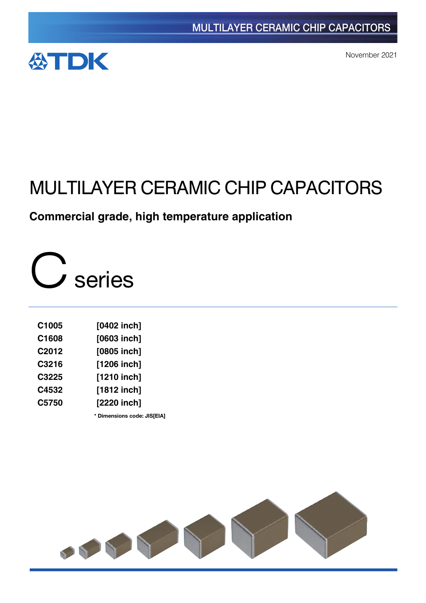

November 2021

# MULTILAYER CERAMIC CHIP CAPACITORS

# **Commercial grade, high temperature application**

C series

| [0402 inch]   |
|---------------|
| [0603 inch]   |
| $[0805$ inch] |
| $[1206$ inch] |
| [1210 inch]   |
| $[1812$ inch] |
| [2220 inch]   |
|               |

**\*** Dimensions code: JIS[EIA]

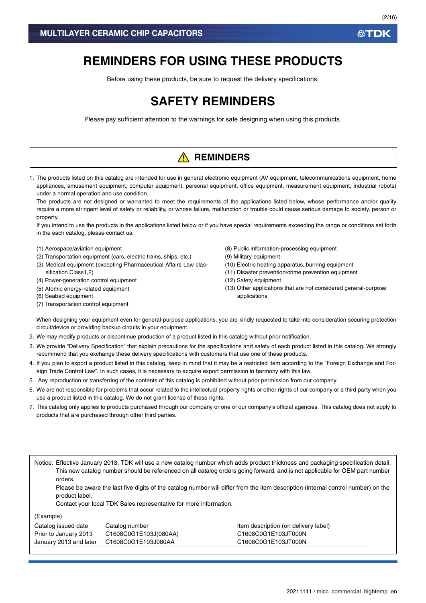# **REMINDERS FOR USING THESE PRODUCTS**

Before using these products, be sure to request the delivery specifications.

# **SAFETY REMINDERS**

Please pay sufficient attention to the warnings for safe designing when using this products.

# **A** REMINDERS

1. The products listed on this catalog are intended for use in general electronic equipment (AV equipment, telecommunications equipment, home appliances, amusement equipment, computer equipment, personal equipment, office equipment, measurement equipment, industrial robots) under a normal operation and use condition.

The products are not designed or warranted to meet the requirements of the applications listed below, whose performance and/or quality require a more stringent level of safety or reliability, or whose failure, malfunction or trouble could cause serious damage to society, person or property.

If you intend to use the products in the applications listed below or if you have special requirements exceeding the range or conditions set forth in the each catalog, please contact us.

- (1) Aerospace/aviation equipment
- (2) Transportation equipment (cars, electric trains, ships, etc.)
- (3) Medical equipment (excepting Pharmaceutical Affairs Law classification Class1,2)
- (4) Power-generation control equipment
- (5) Atomic energy-related equipment
- (6) Seabed equipment
- (7) Transportation control equipment
- (8) Public information-processing equipment
- (9) Military equipment
- (10) Electric heating apparatus, burning equipment
- (11) Disaster prevention/crime prevention equipment
- (12) Safety equipment
- (13) Other applications that are not considered general-purpose applications

When designing your equipment even for general-purpose applications, you are kindly requested to take into consideration securing protection circuit/device or providing backup circuits in your equipment.

- 2. We may modify products or discontinue production of a product listed in this catalog without prior notification.
- 3. We provide "Delivery Specification" that explain precautions for the specifications and safety of each product listed in this catalog. We strongly recommend that you exchange these delivery specifications with customers that use one of these products.
- 4. If you plan to export a product listed in this catalog, keep in mind that it may be a restricted item according to the "Foreign Exchange and Foreign Trade Control Law". In such cases, it is necessary to acquire export permission in harmony with this law.
- 5. Any reproduction or transferring of the contents of this catalog is prohibited without prior permission from our company.
- 6. We are not responsible for problems that occur related to the intellectual property rights or other rights of our company or a third party when you use a product listed in this catalog. We do not grant license of these rights.
- 7. This catalog only applies to products purchased through our company or one of our company's official agencies. This catalog does not apply to products that are purchased through other third parties.

Notice: Effective January 2013, TDK will use a new catalog number which adds product thickness and packaging specification detail. This new catalog number should be referenced on all catalog orders going forward, and is not applicable for OEM part number orders.

Please be aware the last five digits of the catalog number will differ from the item description (internal control number) on the product label.

Contact your local TDK Sales representative for more information.

(Example)

| Catalog issued date    | Catalog number        | Item description (on delivery label) |
|------------------------|-----------------------|--------------------------------------|
| Prior to January 2013  | C1608C0G1E103J(080AA) | C1608C0G1E103JT000N                  |
| January 2013 and later | C1608C0G1E103J080AA   | C1608C0G1E103JT000N                  |

**ATDK**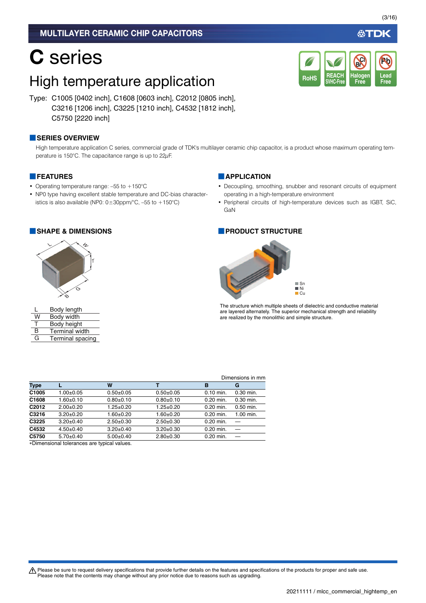# C series

# High temperature application

Type: C1005 [0402 inch], C1608 [0603 inch], C2012 [0805 inch], C3216 [1206 inch], C3225 [1210 inch], C4532 [1812 inch], C5750 [2220 inch]

### **■SERIES OVERVIEW**

High temperature application C series, commercial grade of TDK's multilayer ceramic chip capacitor, is a product whose maximum operating temperature is 150°C. The capacitance range is up to 22µF.

### **■FEATURES**

- Operating temperature range: -55 to +150°C
- NP0 type having excellent stable temperature and DC-bias characteristics is also available (NP0:  $0 \pm 30$ ppm/°C, –55 to +150°C)

### **■SHAPE & DIMENSIONS ■PRODUCT STRUCTURE**



|   | Body length           |
|---|-----------------------|
| W | Body width            |
| т | Body height           |
| R | <b>Terminal width</b> |
| G | Terminal spacing      |

### **■APPLICATION**

- Decoupling, smoothing, snubber and resonant circuits of equipment operating in a high-temperature environment
- Peripheral circuits of high-temperature devices such as IGBT, SiC, GaN



The structure which multiple sheets of dielectric and conductive material are layered alternately. The superior mechanical strength and reliability are realized by the monolithic and simple structure.

|                   |                 |                 |                 |             | Dimensions in mm |
|-------------------|-----------------|-----------------|-----------------|-------------|------------------|
| <b>Type</b>       |                 | W               |                 | в           | G                |
| C1005             | 1.00±0.05       | $0.50+0.05$     | $0.50 + 0.05$   | $0.10$ min. | $0.30$ min.      |
| C1608             | $1.60 + 0.10$   | $0.80 + 0.10$   | $0.80 + 0.10$   | $0.20$ min. | $0.30$ min.      |
| C <sub>2012</sub> | $2.00+0.20$     | $1.25 \pm 0.20$ | $1.25 \pm 0.20$ | $0.20$ min. | $0.50$ min.      |
| C3216             | $3.20 \pm 0.20$ | $1.60 + 0.20$   | $1.60 + 0.20$   | $0.20$ min. | 1.00 min.        |
| C3225             | $3.20 \pm 0.40$ | $2.50+0.30$     | $2.50+0.30$     | 0.20 min.   |                  |
| C4532             | $4.50+0.40$     | $3.20 \pm 0.40$ | $3.20 \pm 0.30$ | $0.20$ min. |                  |
| C5750             | $5.70+0.40$     | $5.00+0.40$     | $2.80+0.30$     | 0.20 min.   |                  |
|                   |                 |                 |                 |             |                  |

Dimensional tolerances are typical values.

必TDK

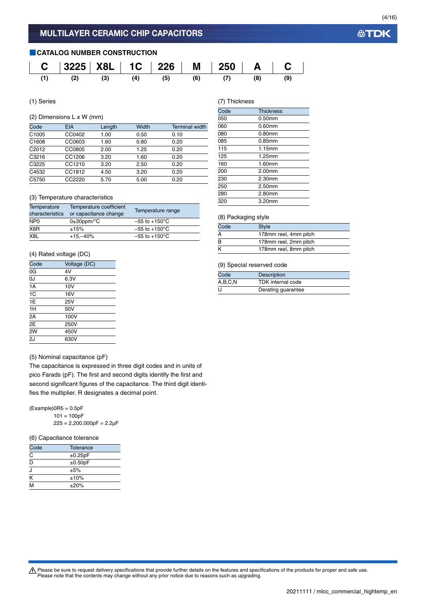### **■CATALOG NUMBER CONSTRUCTION**



(1) Series

### (2) Dimensions L x W (mm)

| Code              | <b>EIA</b> | Length | Width | <b>Terminal width</b> |
|-------------------|------------|--------|-------|-----------------------|
| C1005             | CC0402     | 1.00   | 0.50  | 0.10                  |
| C1608             | CC0603     | 1.60   | 0.80  | 0.20                  |
| C <sub>2012</sub> | CC0805     | 2.00   | 1.25  | 0.20                  |
| C3216             | CC1206     | 3.20   | 1.60  | 0.20                  |
| C3225             | CC1210     | 3.20   | 2.50  | 0.20                  |
| C4532             | CC1812     | 4.50   | 3.20  | 0.20                  |
| C5750             | CC2220     | 5.70   | 5.00  | 0.20                  |

### (3) Temperature characteristics

| Temperature                 | Temperature coefficient    | Temperature range         |
|-----------------------------|----------------------------|---------------------------|
| characteristics             | or capacitance change      |                           |
| N <sub>P</sub> <sub>0</sub> | $0\pm 30$ ppm/ $\degree$ C | $-55$ to $+150^{\circ}$ C |
| X8R                         | ±15%                       | $-55$ to $+150^{\circ}$ C |
| X <sub>8</sub> L            | $+15,-40%$                 | $-55$ to $+150^{\circ}$ C |

### (4) Rated voltage (DC)

| Code | Voltage (DC) |
|------|--------------|
| 0G   | 4V           |
| OJ   | 6.3V         |
| 1A   | 10V          |
| 1C   | 16V          |
| 1E   | 25V          |
| 1H   | 50V          |
| 2A   | 100V         |
| 2E   | 250V         |
| 2W   | 450V         |
| 2J   | 630V         |
|      |              |

### (5) Nominal capacitance (pF)

The capacitance is expressed in three digit codes and in units of pico Farads (pF). The first and second digits identify the first and second significant figures of the capacitance. The third digit identifies the multiplier. R designates a decimal point.

 $(Example)$ OR5 = 0.5pF  $101 = 100pF$  $225 = 2,200,000pF = 2.2\mu F$ 

### (6) Capacitance tolerance

| Code | Tolerance  |  |
|------|------------|--|
| C    | ±0.25pF    |  |
| D    | ±0.50pF    |  |
| J    | ±5%        |  |
| K    | ±10%       |  |
| M    | $\pm 20\%$ |  |

### (7) Thickness

| Code | <b>Thickness</b> |
|------|------------------|
| 050  | $0.50$ mm        |
| 060  | 0.60mm           |
| 080  | $0.80$ mm        |
| 085  | 0.85mm           |
| 115  | 1.15mm           |
| 125  | 1.25mm           |
| 160  | 1.60mm           |
| 200  | 2.00mm           |
| 230  | 2.30mm           |
| 250  | 2.50mm           |
| 280  | 2.80mm           |
| 320  | 3.20mm           |
|      |                  |

### (8) Packaging style

| Code | <b>Style</b>          |  |
|------|-----------------------|--|
|      | 178mm reel, 4mm pitch |  |
| B    | 178mm reel, 2mm pitch |  |
|      | 178mm reel, 8mm pitch |  |

### (9) Special reserved code

| Code    | <b>Description</b>       |
|---------|--------------------------|
| A,B,C,N | <b>TDK</b> internal code |
| U       | Derating guarantee       |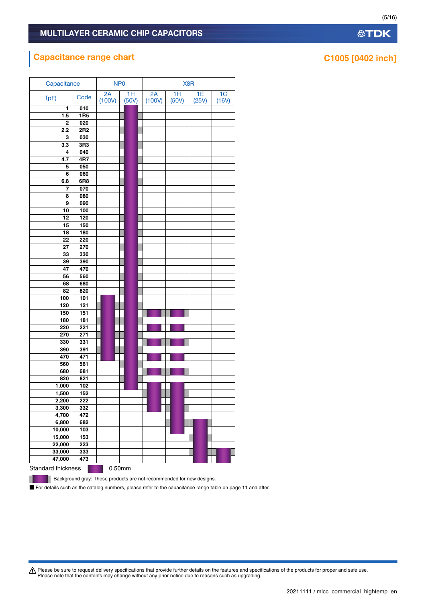# **Capacitance range chart Capacitance range chart C1005 [0402 inch]**

| Capacitance        |                  |              | NP <sub>0</sub> |              |             | X8R         |                         |
|--------------------|------------------|--------------|-----------------|--------------|-------------|-------------|-------------------------|
| (pF)               | Code             | 2A<br>(100V) | 1H<br>(50V)     | 2A<br>(100V) | 1H<br>(50V) | 1E<br>(25V) | 1 <sub>C</sub><br>(16V) |
| 1                  | 010              |              |                 |              |             |             |                         |
| 1.5                | <b>1R5</b>       |              |                 |              |             |             |                         |
| 2                  | 020              |              |                 |              |             |             |                         |
| $\overline{2.2}$   | 2R <sub>2</sub>  |              |                 |              |             |             |                         |
| 3                  | 030              |              |                 |              |             |             |                         |
| 3.3                | 3R3              |              |                 |              |             |             |                         |
| 4                  | 040              |              |                 |              |             |             |                         |
| 4.7                | 4R7              |              |                 |              |             |             |                         |
| 5                  | 050              |              |                 |              |             |             |                         |
| 6                  | 060              |              |                 |              |             |             |                         |
| 6.8                | 6R8              |              |                 |              |             |             |                         |
| 7                  | 070              |              |                 |              |             |             |                         |
| 8                  | 080              |              |                 |              |             |             |                         |
| 9                  | 090              |              |                 |              |             |             |                         |
| 10                 | 100              |              |                 |              |             |             |                         |
| 12                 | 120              |              |                 |              |             |             |                         |
| 15                 | 150              |              |                 |              |             |             |                         |
| $\overline{18}$    | 180              |              |                 |              |             |             |                         |
| 22                 | 220              |              |                 |              |             |             |                         |
| 27                 | 270              |              |                 |              |             |             |                         |
| 33                 | 330              |              |                 |              |             |             |                         |
| 39                 | 390              |              |                 |              |             |             |                         |
| 47                 | 470              |              |                 |              |             |             |                         |
| 56                 | 560              |              |                 |              |             |             |                         |
| 68                 | 680              |              |                 |              |             |             |                         |
| 82<br>100          | 820<br>101       |              |                 |              |             |             |                         |
| 120                | $\overline{121}$ |              |                 |              |             |             |                         |
| 150                | 151              |              |                 |              |             |             |                         |
| 180                | 181              |              |                 |              |             |             |                         |
| 220                | 221              |              |                 |              |             |             |                         |
| 270                | 271              |              |                 |              |             |             |                         |
| 330                | 331              |              |                 |              |             |             |                         |
| 390                | 391              |              |                 |              |             |             |                         |
| 470                | 471              |              |                 |              |             |             |                         |
| 560                | 561              |              |                 |              |             |             |                         |
| 680                | 681              |              |                 |              |             |             |                         |
| 820                | 821              |              |                 |              |             |             |                         |
| 1,000              | 102              |              |                 |              |             |             |                         |
| 1,500              | 152              |              |                 |              |             |             |                         |
| 2,200              | 222              |              |                 |              |             |             |                         |
| 3,300              | 332              |              |                 |              |             |             |                         |
| 4,700              | 472              |              |                 |              |             |             |                         |
| 6,800              | 682              |              |                 |              |             |             |                         |
| 10,000             | 103              |              |                 |              |             |             |                         |
| 15,000             | 153              |              |                 |              |             |             |                         |
| 22,000             | 223              |              |                 |              |             |             |                         |
| 33,000             | 333              |              |                 |              |             |             |                         |
| 47,000             | 473              |              |                 |              |             |             |                         |
| Standard thickness |                  |              | 0.50mm          |              |             |             |                         |

Background gray: These products are not recommended for new designs.

п

■ For details such as the catalog numbers, please refer to the capacitance range table on page 11 and after.

Please be sure to request delivery specifications that provide further details on the features and specifications of the products for proper and safe use.<br>Please note that the contents may change without any prior notice d

(5/16)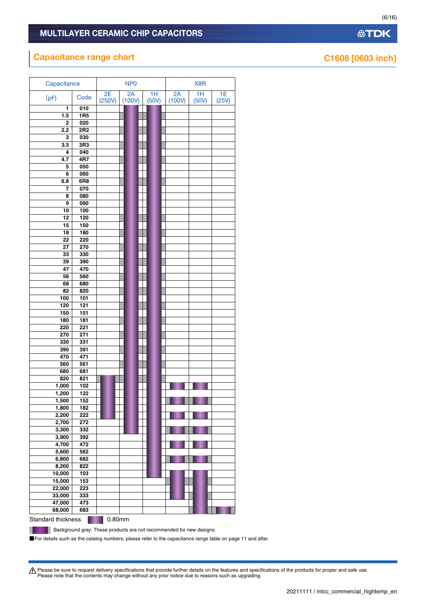### **Capacitance range chart Capacitance range chart Capacitance range chart C1608 [0603 inch]**

| Capacitance    |                  |              | NP <sub>0</sub> |             |              |             |             |
|----------------|------------------|--------------|-----------------|-------------|--------------|-------------|-------------|
| (pF)           | Code             | 2E<br>(250V) | 2A<br>(100V)    | 1H<br>(50V) | 2A<br>(100V) | 1H<br>(50V) | 1E<br>(25V) |
| 1              | 010              |              |                 |             |              |             |             |
| 1.5            | <b>1R5</b>       |              |                 |             |              |             |             |
| 2              | 020              |              |                 |             |              |             |             |
| 2.2            | 2R <sub>2</sub>  |              |                 |             |              |             |             |
| 3              | 030              |              |                 |             |              |             |             |
| 3.3            | 3R3              |              |                 |             |              |             |             |
| 4              | 040              |              |                 |             |              |             |             |
| 4.7            | 4R7              |              |                 |             |              |             |             |
| 5              | 050              |              |                 |             |              |             |             |
| 6              | 060              |              |                 |             |              |             |             |
|                | 6R8              |              |                 |             |              |             |             |
| 6.8            |                  |              |                 |             |              |             |             |
| 7              | 070              |              |                 |             |              |             |             |
| 8              | 080              |              |                 |             |              |             |             |
| 9              | 090              |              |                 |             |              |             |             |
| 10             | 100              |              |                 |             |              |             |             |
| 12             | 120              |              |                 |             |              |             |             |
| 15             | 150              |              |                 |             |              |             |             |
| 18             | 180              |              |                 |             |              |             |             |
| 22             | 220              |              |                 |             |              |             |             |
| 27             | 270              |              |                 |             |              |             |             |
| 33             | 330              |              |                 |             |              |             |             |
| 39             | 390              |              |                 |             |              |             |             |
| 47             | 470              |              |                 |             |              |             |             |
| 56             | 560              |              |                 |             |              |             |             |
| 68             | 680              |              |                 |             |              |             |             |
| 82             | 820              |              |                 |             |              |             |             |
| 100            | 101              |              |                 |             |              |             |             |
| 120            | 121              |              |                 |             |              |             |             |
| 150            | 151              |              |                 |             |              |             |             |
| 180            | 181              |              |                 |             |              |             |             |
| 220            | 221              |              |                 |             |              |             |             |
| 270            | $\overline{271}$ |              |                 |             |              |             |             |
| 330            | 331              |              |                 |             |              |             |             |
| 390            | 391              |              |                 |             |              |             |             |
| 470            | 471              |              |                 |             |              |             |             |
| 560            | 561              |              |                 |             |              |             |             |
| 680            | 681              |              |                 |             |              |             |             |
| 820            | 821              |              |                 |             |              |             |             |
|                | 102              |              |                 |             |              |             |             |
| 1,000<br>1,200 | 122              |              |                 |             |              |             |             |
|                |                  |              |                 |             |              |             |             |
| 1,500<br>1,800 | 152              |              |                 |             |              |             |             |
|                | 182              |              |                 |             |              |             |             |
| 2,200<br>2,700 | 222<br>272       |              |                 |             |              |             |             |
|                |                  |              |                 |             |              |             |             |
| 3,300          | 332              |              |                 |             |              |             |             |
| 3,900          | 392              |              |                 |             |              |             |             |
| 4,700          | 472              |              |                 |             |              |             |             |
| 5,600          | 562              |              |                 |             |              |             |             |
| 6,800          | 682              |              |                 |             |              |             |             |
| 8,200          | 822              |              |                 |             |              |             |             |
| 10,000         | $\frac{1}{103}$  |              |                 |             |              |             |             |
| 15,000         | 153              |              |                 |             |              |             |             |
| 22,000         | 223              |              |                 |             |              |             |             |
| 33,000         | 333              |              |                 |             |              |             |             |
| 47,000         | 473              |              |                 |             |              |             |             |
| 68,000         | 683              |              |                 |             |              |             |             |
|                |                  |              |                 |             |              |             |             |

Standard thickness **6.80mm** 

П

Background gray: These products are not recommended for new designs.

■For details such as the catalog numbers, please refer to the capacitance range table on page 11 and after.

Please be sure to request delivery specifications that provide further details on the features and specifications of the products for proper and safe use.<br>Please note that the contents may change without any prior notice d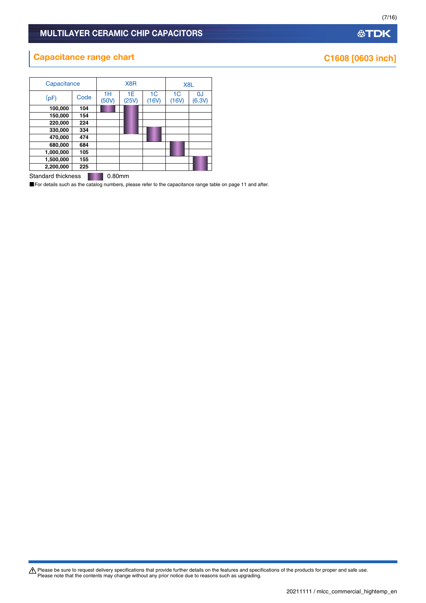# **Capacitance range chart Capacitance range chart C1608 [0603 inch]**

| Capacitance |      | X <sub>8</sub> R | X <sub>8</sub> L |                         |                         |                          |
|-------------|------|------------------|------------------|-------------------------|-------------------------|--------------------------|
| (pF)        | Code | 1H<br>(50V)      | 1E<br>(25V)      | 1 <sup>C</sup><br>(16V) | 1 <sup>C</sup><br>(16V) | <sub>0</sub> J<br>(6.3V) |
| 100,000     | 104  |                  |                  |                         |                         |                          |
| 150,000     | 154  |                  |                  |                         |                         |                          |
| 220,000     | 224  |                  |                  |                         |                         |                          |
| 330,000     | 334  |                  |                  |                         |                         |                          |
| 470,000     | 474  |                  |                  |                         |                         |                          |
| 680,000     | 684  |                  |                  |                         |                         |                          |
| 1,000,000   | 105  |                  |                  |                         |                         |                          |
| 1,500,000   | 155  |                  |                  |                         |                         |                          |
| 2,200,000   | 225  |                  |                  |                         |                         |                          |

Standard thickness **0.80mm** 

■For details such as the catalog numbers, please refer to the capacitance range table on page 11 and after.

Please be sure to request delivery specifications that provide further details on the features and specifications of the products for proper and safe use.<br>Please note that the contents may change without any prior notice d

# **公TDK**

(7/16)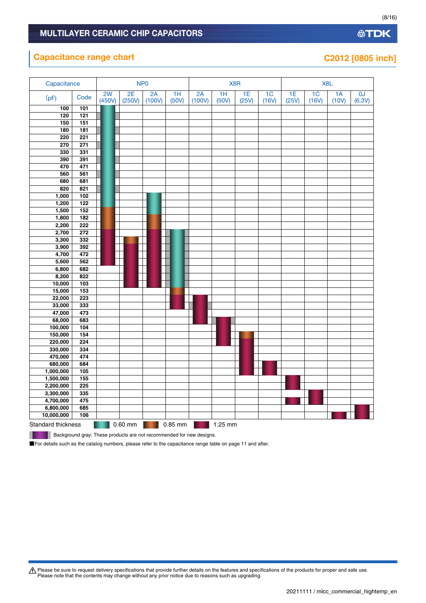### **Capacitance range chart Capacitance range chart C2012 [0805 inch]**

| A Please be sure to request delivery specifications that provide further details on the features and specifications of the products for proper and safe use. |
|--------------------------------------------------------------------------------------------------------------------------------------------------------------|
| Please note that the contents may change without any prior notice due to reasons such as upgrading.                                                          |

| Capacitance |                  |              |              | NP <sub>0</sub> |                          |              |                          | X8R         |                         |             |             | X8L         |              |
|-------------|------------------|--------------|--------------|-----------------|--------------------------|--------------|--------------------------|-------------|-------------------------|-------------|-------------|-------------|--------------|
| (pF)        | Code             | 2W<br>(450V) | 2E<br>(250V) | 2A<br>(100V)    | $\overline{1H}$<br>(50V) | 2A<br>(100V) | $\overline{1H}$<br>(50V) | 1E<br>(25V) | 1 <sup>C</sup><br>(16V) | 1E<br>(25V) | 1C<br>(16V) | 1A<br>(10V) | 0J<br>(6.3V) |
| 100         | 101              |              |              |                 |                          |              |                          |             |                         |             |             |             |              |
| 120         | $\overline{121}$ |              |              |                 |                          |              |                          |             |                         |             |             |             |              |
| 150         | 151              |              |              |                 |                          |              |                          |             |                         |             |             |             |              |
| 180         | 181              |              |              |                 |                          |              |                          |             |                         |             |             |             |              |
| 220         | $\overline{221}$ |              |              |                 |                          |              |                          |             |                         |             |             |             |              |
| 270         | 271              |              |              |                 |                          |              |                          |             |                         |             |             |             |              |
| 330         | 331              |              |              |                 |                          |              |                          |             |                         |             |             |             |              |
| 390         | 391              |              |              |                 |                          |              |                          |             |                         |             |             |             |              |
| 470         | 471              |              |              |                 |                          |              |                          |             |                         |             |             |             |              |
| 560         | 561              |              |              |                 |                          |              |                          |             |                         |             |             |             |              |
| 680         | 681              |              |              |                 |                          |              |                          |             |                         |             |             |             |              |
| 820         | 821              |              |              |                 |                          |              |                          |             |                         |             |             |             |              |
| 1,000       | 102              |              |              |                 |                          |              |                          |             |                         |             |             |             |              |
| 1,200       | 122              |              |              |                 |                          |              |                          |             |                         |             |             |             |              |
| 1,500       | 152              |              |              |                 |                          |              |                          |             |                         |             |             |             |              |
| 1,800       | 182              |              |              |                 |                          |              |                          |             |                         |             |             |             |              |
| 2,200       | $\overline{222}$ |              |              |                 |                          |              |                          |             |                         |             |             |             |              |
| 2,700       | 272              |              |              |                 |                          |              |                          |             |                         |             |             |             |              |
| 3,300       | 332              |              |              |                 |                          |              |                          |             |                         |             |             |             |              |
| 3,900       | 392              |              |              |                 |                          |              |                          |             |                         |             |             |             |              |
| 4,700       | 472              |              |              |                 |                          |              |                          |             |                         |             |             |             |              |
| 5,600       | 562              |              |              |                 |                          |              |                          |             |                         |             |             |             |              |
| 6,800       | 682              |              |              |                 |                          |              |                          |             |                         |             |             |             |              |
| 8,200       | 822              |              |              |                 |                          |              |                          |             |                         |             |             |             |              |
| 10,000      | 103              |              |              |                 |                          |              |                          |             |                         |             |             |             |              |
| 15,000      | 153              |              |              |                 |                          |              |                          |             |                         |             |             |             |              |
| 22,000      | 223              |              |              |                 |                          |              |                          |             |                         |             |             |             |              |
| 33,000      | 333              |              |              |                 |                          |              |                          |             |                         |             |             |             |              |
| 47,000      | 473              |              |              |                 |                          |              |                          |             |                         |             |             |             |              |
| 68,000      | 683              |              |              |                 |                          |              |                          |             |                         |             |             |             |              |
| 100,000     | 104              |              |              |                 |                          |              |                          |             |                         |             |             |             |              |
| 150,000     | 154              |              |              |                 |                          |              |                          |             |                         |             |             |             |              |
| 220,000     | 224              |              |              |                 |                          |              |                          |             |                         |             |             |             |              |
| 330,000     | 334              |              |              |                 |                          |              |                          |             |                         |             |             |             |              |
| 470,000     | 474              |              |              |                 |                          |              |                          |             |                         |             |             |             |              |
| 680,000     | 684              |              |              |                 |                          |              |                          |             |                         |             |             |             |              |
| 1,000,000   | 105              |              |              |                 |                          |              |                          |             |                         |             |             |             |              |
| 1,500,000   | 155              |              |              |                 |                          |              |                          |             |                         |             |             |             |              |
| 2,200,000   | 225              |              |              |                 |                          |              |                          |             |                         |             |             |             |              |
| 3,300,000   | 335              |              |              |                 |                          |              |                          |             |                         |             |             |             |              |
| 4,700,000   | 475              |              |              |                 |                          |              |                          |             |                         |             |             |             |              |
| 6,800,000   | 685              |              |              |                 |                          |              |                          |             |                         |             |             |             |              |

Background gray: These products are not recommended for new designs.

**10,000,000 106**

ш

Standard thickness 0.60 mm 0.85 mm 1.25 mm

■For details such as the catalog numbers, please refer to the capacitance range table on page 11 and after.

(8/16)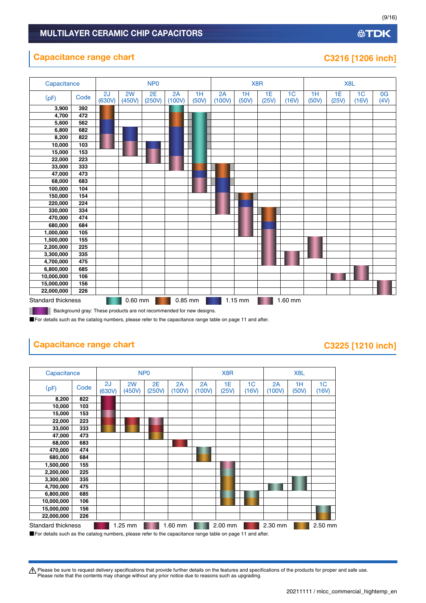### **Capacitance range chart Capacitance range chart C3216 [1206 inch]**

### Standard thickness 0.60 mm 0.85 mm 1.15 mm 1.60 mm Capacitance | NP0 NP0 X8R X8R X8L  $(pF)$  Code  $\begin{bmatrix} 2J \\ 630J \end{bmatrix}$ (630V) 2W (450V) 2E (250V) 2A (100V) 1H (50V) 2A (100V) 1H (50V) 1E (25V)  $1<sub>C</sub>$ (16V) 1H (50V) 1E (25V) 1C (16V) 0G  $(4V)$ **3,900 392 4,700 472 5,600 562 6,800 682 8,200 822 10,000 103 15,000 153 22,000 223 33,000 333 47,000 473 68,000 683 100,000 104 150,000 154 220,000 224 330,000 334 470,000 474 680,000 684 1,000,000 105 1,500,000 155 2,200,000 225 3,300,000 335 4,700,000 475 6,800,000 685 10,000,000 106 15,000,000 156 22,000,000 226**

Background gray: These products are not recommended for new designs. .

■For details such as the catalog numbers, please refer to the capacitance range table on page 11 and after.

# **Capacitance range chart Capacitance range chart C3225** [1210 inch]

### Standard thickness **1.25 mm 1.60 mm 2.00 mm 2.30 mm** 2.50 mm Capacitance NP0 NP0 X8R X8L **(**pF) Code 2J (630V) 2W (450V) 2E (250V) 2A (100V) 2A (100V) 1E (25V) 1C (16V) 2A (100V) 1H (50V) 1C (16V) **8,200 822 10,000 103 15,000 153 22,000 223 33,000 333 47,000 473 68,000 683 470,000 474 680,000 684 1,500,000 155 2,200,000 225 3,300,000 335 4,700,000 475 6,800,000 685 10,000,000 106 15,000,000 156 22,000,000 226**

■For details such as the catalog numbers, please refer to the capacitance range table on page 11 and after.

A Please be sure to request delivery specifications that provide further details on the features and specifications of the products for proper and safe use. Please note that the contents may change without any prior notice due to reasons such as upgrading.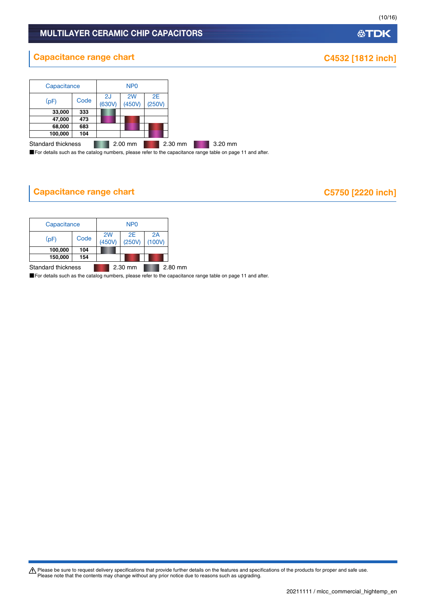# **Capacitance range chart CAUSE 2008 1812 1812 inch]**

| Capacitance        |      |              | N <sub>P</sub> <sub>0</sub> |              |         |  |
|--------------------|------|--------------|-----------------------------|--------------|---------|--|
| (pF)               | Code | 2J<br>(630V) | 2W<br>(450V)                | 2E<br>(250V) |         |  |
| 33,000             | 333  |              |                             |              |         |  |
| 47,000             | 473  |              |                             |              |         |  |
| 68,000             | 683  |              |                             |              |         |  |
| 100,000            | 104  |              |                             |              |         |  |
| Standard thickness |      |              | 2.00 mm                     |              | 2.30 mm |  |

■For details such as the catalog numbers, please refer to the capacitance range table on page 11 and after.

# **Capacitance range chart C5750 [2220 inch]**

| Capacitance               |      | NP <sub>0</sub> |           |              |              |         |  |
|---------------------------|------|-----------------|-----------|--------------|--------------|---------|--|
| (pF)                      | Code | 2W<br>(450V)    |           | 2E<br>(250V) | 2A<br>(100V) |         |  |
| 100,000                   | 104  |                 |           |              |              |         |  |
| 150,000                   | 154  |                 |           |              |              |         |  |
| <b>Standard thickness</b> |      |                 | $2.30$ mm |              |              | 2.80 mm |  |

■For details such as the catalog numbers, please refer to the capacitance range table on page 11 and after.

Please be sure to request delivery specifications that provide further details on the features and specifications of the products for proper and safe use.<br>Please note that the contents may change without any prior notice d

**公TDK** 

(10/16)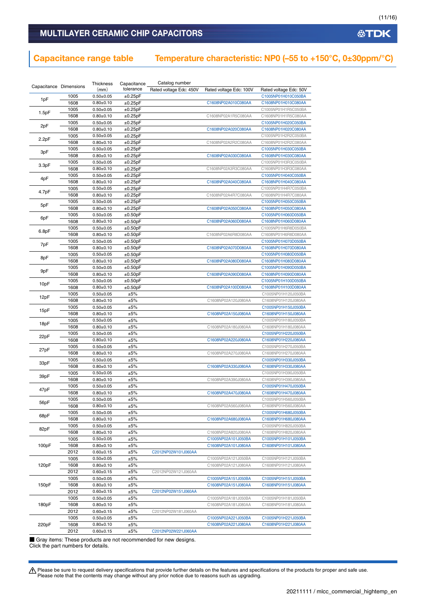### Capacitance range table Temperature characteristic: NP0 (–55 to +150°C, 0±30ppm/°C)

| Capacitance Dimensions |      | Thickness       | Capacitance | Catalog number          |                         |                        |
|------------------------|------|-----------------|-------------|-------------------------|-------------------------|------------------------|
|                        |      | (mm)            | tolerance   | Rated voltage Edc: 450V | Rated voltage Edc: 100V | Rated voltage Edc: 50V |
|                        | 1005 | $0.50 + 0.05$   | ±0.25pF     |                         |                         | C1005NP01H010C050BA    |
| 1pF                    | 1608 | $0.80 + 0.10$   | ±0.25pF     |                         | C1608NP02A010C080AA     | C1608NP01H010C080AA    |
|                        | 1005 | $0.50 + 0.05$   | ±0.25pF     |                         |                         | C1005NP01H1R5C050BA    |
| 1.5pF                  |      | $0.80 \pm 0.10$ | ±0.25pF     |                         | C1608NP02A1R5C080AA     | C1608NP01H1R5C080AA    |
|                        | 1608 |                 |             |                         |                         |                        |
| 2pF                    | 1005 | $0.50 \pm 0.05$ | ±0.25pF     |                         |                         | C1005NP01H020C050BA    |
|                        | 1608 | $0.80 + 0.10$   | ±0.25pF     |                         | C1608NP02A020C080AA     | C1608NP01H020C080AA    |
| 2.2pF                  | 1005 | $0.50 \pm 0.05$ | ±0.25pF     |                         |                         | C1005NP01H2R2C050BA    |
|                        | 1608 | $0.80 + 0.10$   | ±0.25pF     |                         | C1608NP02A2R2C080AA     | C1608NP01H2R2C080AA    |
|                        | 1005 | $0.50 \pm 0.05$ | ±0.25pF     |                         |                         | C1005NP01H030C050BA    |
| 3pF                    | 1608 | $0.80 + 0.10$   | ±0.25pF     |                         | C1608NP02A030C080AA     | C1608NP01H030C080AA    |
|                        | 1005 | $0.50 + 0.05$   | ±0.25pF     |                         |                         | C1005NP01H3R3C050BA    |
| 3.3pF                  | 1608 | $0.80 + 0.10$   | ±0.25pF     |                         | C1608NP02A3R3C080AA     | C1608NP01H3R3C080AA    |
|                        | 1005 | $0.50 + 0.05$   |             |                         |                         |                        |
| 4pF                    |      |                 | ±0.25pF     |                         |                         | C1005NP01H040C050BA    |
|                        | 1608 | $0.80 \pm 0.10$ | ±0.25pF     |                         | C1608NP02A040C080AA     | C1608NP01H040C080AA    |
| 4.7pF                  | 1005 | $0.50 \pm 0.05$ | ±0.25pF     |                         |                         | C1005NP01H4R7C050BA    |
|                        | 1608 | $0.80 \pm 0.10$ | ±0.25pF     |                         | C1608NP02A4R7C080AA     | C1608NP01H4R7C080AA    |
|                        | 1005 | $0.50 \pm 0.05$ | ±0.25pF     |                         |                         | C1005NP01H050C050BA    |
| 5pF                    | 1608 | $0.80 + 0.10$   | ±0.25pF     |                         | C1608NP02A050C080AA     | C1608NP01H050C080AA    |
|                        | 1005 | $0.50 \pm 0.05$ | ±0.50pF     |                         |                         | C1005NP01H060D050BA    |
| 6pF                    | 1608 | $0.80 \pm 0.10$ | ±0.50pF     |                         | C1608NP02A060D080AA     | C1608NP01H060D080AA    |
|                        | 1005 | $0.50 + 0.05$   | ±0.50pF     |                         |                         | C1005NP01H6R8D050BA    |
| 6.8pF                  | 1608 |                 | ±0.50pF     |                         | C1608NP02A6R8D080AA     | C1608NP01H6R8D080AA    |
|                        |      | $0.80 \pm 0.10$ |             |                         |                         |                        |
| 7pF                    | 1005 | $0.50 + 0.05$   | ±0.50pF     |                         |                         | C1005NP01H070D050BA    |
|                        | 1608 | $0.80 + 0.10$   | ±0.50pF     |                         | C1608NP02A070D080AA     | C1608NP01H070D080AA    |
| 8pF                    | 1005 | $0.50 + 0.05$   | ±0.50pF     |                         |                         | C1005NP01H080D050BA    |
|                        | 1608 | $0.80 + 0.10$   | ±0.50pF     |                         | C1608NP02A080D080AA     | C1608NP01H080D080AA    |
|                        | 1005 | $0.50 \pm 0.05$ | ±0.50pF     |                         |                         | C1005NP01H090D050BA    |
| 9pF                    | 1608 | $0.80 + 0.10$   | ±0.50pF     |                         | C1608NP02A090D080AA     | C1608NP01H090D080AA    |
|                        | 1005 | $0.50 \pm 0.05$ | ±0.50pF     |                         |                         | C1005NP01H100D050BA    |
| 10pF                   | 1608 | $0.80 \pm 0.10$ | ±0.50pF     |                         | C1608NP02A100D080AA     | C1608NP01H100D080AA    |
|                        |      |                 | ±5%         |                         |                         |                        |
| 12pF                   | 1005 | $0.50 \pm 0.05$ |             |                         |                         | C1005NP01H120J050BA    |
|                        | 1608 | $0.80 + 0.10$   | ±5%         |                         | C1608NP02A120J080AA     | C1608NP01H120J080AA    |
| 15pF                   | 1005 | $0.50 \pm 0.05$ | ±5%         |                         |                         | C1005NP01H150J050BA    |
|                        | 1608 | $0.80 \pm 0.10$ | ±5%         |                         | C1608NP02A150J080AA     | C1608NP01H150J080AA    |
|                        | 1005 | $0.50 \pm 0.05$ | ±5%         |                         |                         | C1005NP01H180J050BA    |
| 18pF                   | 1608 | $0.80 \pm 0.10$ | ±5%         |                         | C1608NP02A180J080AA     | C1608NP01H180J080AA    |
|                        | 1005 | $0.50 + 0.05$   | ±5%         |                         |                         | C1005NP01H220J050BA    |
| 22pF                   | 1608 | $0.80 + 0.10$   | ±5%         |                         | C1608NP02A220J080AA     | C1608NP01H220J080AA    |
|                        | 1005 | $0.50 \pm 0.05$ | ±5%         |                         |                         | C1005NP01H270J050BA    |
| 27pF                   | 1608 |                 |             |                         |                         |                        |
|                        |      | $0.80 + 0.10$   | ±5%         |                         | C1608NP02A270J080AA     | C1608NP01H270J080AA    |
| 33pF                   | 1005 | $0.50 + 0.05$   | ±5%         |                         |                         | C1005NP01H330J050BA    |
|                        | 1608 | $0.80 \pm 0.10$ | ±5%         |                         | C1608NP02A330J080AA     | C1608NP01H330J080AA    |
| 39pF                   | 1005 | $0.50 \pm 0.05$ | ±5%         |                         |                         | C1005NP01H390J050BA    |
|                        | 1608 | $0.80 \pm 0.10$ | ±5%         |                         | C1608NP02A390J080AA     | C1608NP01H390J080AA    |
|                        | 1005 | $0.50 + 0.05$   | ±5%         |                         |                         | C1005NP01H470J050BA    |
| 47pF                   | 1608 | $0.80 \pm 0.10$ | ±5%         |                         | C1608NP02A470J080AA     | C1608NP01H470J080AA    |
|                        | 1005 | $0.50 + 0.05$   | ±5%         |                         |                         | C1005NP01H560J050BA    |
| 56pF                   | 1608 | $0.80 \pm 0.10$ | ±5%         |                         | C1608NP02A560J080AA     | C1608NP01H560J080AA    |
|                        |      |                 |             |                         |                         |                        |
| 68pF                   | 1005 | $0.50 \pm 0.05$ | ±5%         |                         |                         | C1005NP01H680J050BA    |
|                        | 1608 | $0.80 + 0.10$   | ±5%         |                         | C1608NP02A680J080AA     | C1608NP01H680J080AA    |
| 82pF                   | 1005 | $0.50 + 0.05$   | ±5%         |                         |                         | C1005NP01H820J050BA    |
|                        | 1608 | $0.80 + 0.10$   | ±5%         |                         | C1608NP02A820J080AA     | C1608NP01H820J080AA    |
|                        | 1005 | $0.50 + 0.05$   | ±5%         |                         | C1005NP02A101J050BA     | C1005NP01H101J050BA    |
| 100pF                  | 1608 | $0.80 + 0.10$   | ±5%         |                         | C1608NP02A101J080AA     | C1608NP01H101J080AA    |
|                        | 2012 | $0.60 + 0.15$   | ±5%         | C2012NP02W101J060AA     |                         |                        |
|                        | 1005 | $0.50 + 0.05$   | ±5%         |                         | C1005NP02A121J050BA     | C1005NP01H121J050BA    |
| 120pF                  | 1608 | $0.80 + 0.10$   | ±5%         |                         | C1608NP02A121J080AA     | C1608NP01H121J080AA    |
|                        |      |                 |             | C2012NP02W121J060AA     |                         |                        |
|                        | 2012 | $0.60 \pm 0.15$ | ±5%         |                         |                         |                        |
|                        | 1005 | $0.50 \pm 0.05$ | ±5%         |                         | C1005NP02A151J050BA     | C1005NP01H151J050BA    |
| 150pF                  | 1608 | $0.80 + 0.10$   | ±5%         |                         | C1608NP02A151J080AA     | C1608NP01H151J080AA    |
|                        | 2012 | $0.60 \pm 0.15$ | ±5%         | C2012NP02W151J060AA     |                         |                        |
|                        | 1005 | $0.50 \pm 0.05$ | ±5%         |                         | C1005NP02A181J050BA     | C1005NP01H181J050BA    |
| 180pF                  | 1608 | $0.80 + 0.10$   | ±5%         |                         | C1608NP02A181J080AA     | C1608NP01H181J080AA    |
|                        | 2012 | $0.60 \pm 0.15$ | ±5%         | C2012NP02W181J060AA     |                         |                        |
|                        | 1005 | $0.50 + 0.05$   | ±5%         |                         | C1005NP02A221J050BA     | C1005NP01H221J050BA    |
| 220pF                  | 1608 | $0.80 + 0.10$   | ±5%         |                         | C1608NP02A221J080AA     | C1608NP01H221J080AA    |
|                        |      |                 |             |                         |                         |                        |
|                        | 2012 | $0.60 \pm 0.15$ | ±5%         | C2012NP02W221J060AA     |                         |                        |

■ Gray items: These products are not recommended for new designs. Click the part numbers for details.

Please be sure to request delivery specifications that provide further details on the features and specifications of the products for proper and safe use.<br>Please note that the contents may change without any prior notice d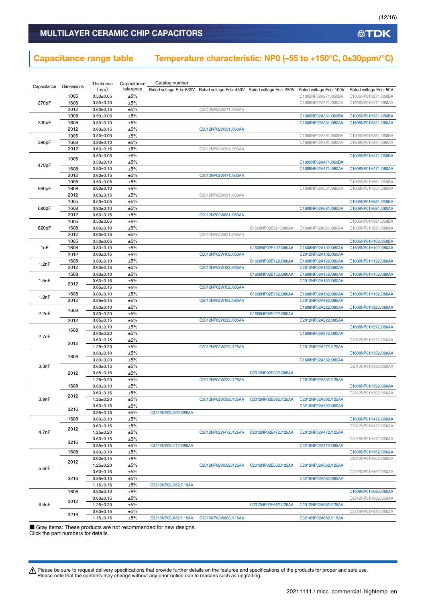**公TDK** 

### MULTILAYER CERAMIC CHIP CAPACITORS

### Capacitance range table Temperature characteristic: NP0 (–55 to +150°C, 0±30ppm/°C)

| Capacitance | Dimensions | Thickness<br>(mm) | Capacitance<br>tolerance | Catalog number      | Rated voltage Edc: 630V Rated voltage Edc: 450V Rated voltage Edc: 250V |                     | Rated voltage Edc: 100V | Rated voltage Edc: 50V |
|-------------|------------|-------------------|--------------------------|---------------------|-------------------------------------------------------------------------|---------------------|-------------------------|------------------------|
|             | 1005       | $0.50 + 0.05$     | ±5%                      |                     |                                                                         |                     | C1005NP02A271J050BA     | C1005NP01H271J050BA    |
| 270pF       | 1608       | $0.80 + 0.10$     | ±5%                      |                     |                                                                         |                     | C1608NP02A271J080AA     | C1608NP01H271J080AA    |
|             | 2012       | $0.60 \pm 0.15$   | ±5%                      |                     | C2012NP02W271J060AA                                                     |                     |                         |                        |
|             | 1005       | $0.50 + 0.05$     | ±5%                      |                     |                                                                         |                     | C1005NP02A331J050BA     | C1005NP01H331J050BA    |
| 330pF       | 1608       | $0.80 + 0.10$     | ±5%                      |                     |                                                                         |                     | C1608NP02A331J080AA     | C1608NP01H331J080AA    |
|             | 2012       | $0.60 \pm 0.15$   | ±5%                      |                     | C2012NP02W331J060AA                                                     |                     |                         |                        |
|             | 1005       | $0.50 + 0.05$     | ±5%                      |                     |                                                                         |                     | C1005NP02A391J050BA     | C1005NP01H391J050BA    |
| 390pF       | 1608       | $0.80 \pm 0.10$   | ±5%                      |                     |                                                                         |                     | C1608NP02A391J080AA     | C1608NP01H391J080AA    |
|             | 2012       | $0.60 \pm 0.15$   | ±5%                      |                     | C2012NP02W391J060AA                                                     |                     |                         |                        |
|             |            | $0.50 \pm 0.05$   | ±5%                      |                     |                                                                         |                     |                         | C1005NP01H471J050BA    |
|             | 1005       | $0.50 + 0.10$     | ±5%                      |                     |                                                                         |                     | C1005NP02A471J050BA     |                        |
| 470pF       | 1608       | $0.80 + 0.10$     | ±5%                      |                     |                                                                         |                     | C1608NP02A471J080AA     | C1608NP01H471J080AA    |
|             | 2012       | $0.60 \pm 0.15$   | ±5%                      |                     | C2012NP02W471J060AA                                                     |                     |                         |                        |
|             | 1005       | $0.50 + 0.05$     | ±5%                      |                     |                                                                         |                     |                         | C1005NP01H561J050BA    |
| 560pF       | 1608       | $0.80 + 0.10$     | ±5%                      |                     |                                                                         |                     | C1608NP02A561J080AA     | C1608NP01H561J080AA    |
|             | 2012       | $0.60 \pm 0.15$   | $\pm 5\%$                |                     | C2012NP02W561J060AA                                                     |                     |                         |                        |
|             | 1005       | $0.50 + 0.05$     | ±5%                      |                     |                                                                         |                     |                         | C1005NP01H681J050BA    |
| 680pF       | 1608       | $0.80 + 0.10$     | ±5%                      |                     |                                                                         |                     | C1608NP02A681J080AA     | C1608NP01H681J080AA    |
|             | 2012       | $0.60 \pm 0.15$   | ±5%                      |                     | C2012NP02W681J060AA                                                     |                     |                         |                        |
|             | 1005       | $0.50 + 0.05$     | ±5%                      |                     |                                                                         |                     |                         | C1005NP01H821J050BA    |
| 820pF       | 1608       | $0.80 + 0.10$     | ±5%                      |                     |                                                                         | C1608NP02E821J080AA | C1608NP02A821J080AA     | C1608NP01H821J080AA    |
|             | 2012       | $0.60 \pm 0.15$   | ±5%                      |                     | C2012NP02W821J060AA                                                     |                     |                         |                        |
|             | 1005       | $0.50 + 0.05$     | ±5%                      |                     |                                                                         |                     |                         | C1005NP01H102J050BA    |
| 1nF         | 1608       | $0.80 + 0.10$     | $\pm 5\%$                |                     |                                                                         | C1608NP02E102J080AA | C1608NP02A102J080AA     | C1608NP01H102J080AA    |
|             | 2012       | $0.60 \pm 0.15$   | ±5%                      |                     | C2012NP02W102J060AA                                                     |                     | C2012NP02A102J060AA     |                        |
|             | 1608       | $0.80 + 0.10$     | ±5%                      |                     |                                                                         | C1608NP02E122J080AA | C1608NP02A122J080AA     | C1608NP01H122J080AA    |
| 1.2nF       | 2012       | $0.60 \pm 0.15$   | ±5%                      |                     | C2012NP02W122J060AA                                                     |                     | C2012NP02A122J060AA     |                        |
|             | 1608       | $0.80 \pm 0.10$   | ±5%                      |                     |                                                                         | C1608NP02E152J080AA | C1608NP02A152J080AA     | C1608NP01H152J080AA    |
| 1.5nF       |            | $0.60 \pm 0.15$   | ±5%                      |                     |                                                                         |                     | C2012NP02A152J060AA     |                        |
|             | 2012       | $0.85 \pm 0.15$   | ±5%                      |                     | C2012NP02W152J085AA                                                     |                     |                         |                        |
|             | 1608       | $0.80 + 0.10$     | ±5%                      |                     |                                                                         | C1608NP02E182J080AA | C1608NP02A182J080AA     | C1608NP01H182J080AA    |
| 1.8nF       | 2012       | $0.85 \pm 0.15$   | ±5%                      |                     | C2012NP02W182J085AA                                                     |                     | C2012NP02A182J085AA     |                        |
|             |            | $0.80 + 0.10$     | ±5%                      |                     |                                                                         |                     | C1608NP02A222J080AA     | C1608NP01H222J080AA    |
| 2.2nF       | 1608       | $0.80 + 0.20$     | ±5%                      |                     |                                                                         | C1608NP02E222J080AA |                         |                        |
|             | 2012       | $0.85 \pm 0.15$   | ±5%                      |                     | C2012NP02W222J085AA                                                     |                     | C2012NP02A222J085AA     |                        |
|             |            | $0.80 + 0.10$     | ±5%                      |                     |                                                                         |                     |                         | C1608NP01H272J080AA    |
|             | 1608       | $0.80 + 0.20$     | ±5%                      |                     |                                                                         |                     | C1608NP02A272J080AA     |                        |
| 2.7nF       |            | $0.60 \pm 0.15$   | ±5%                      |                     |                                                                         |                     |                         | C2012NP01H272J060AA    |
|             | 2012       | $1.25 \pm 0.20$   | ±5%                      |                     | C2012NP02W272J125AA                                                     |                     | C2012NP02A272J125AA     |                        |
|             |            | $0.80 \pm 0.10$   | ±5%                      |                     |                                                                         |                     |                         | C1608NP01H332J080AA    |
|             | 1608       | $0.80 + 0.20$     | ±5%                      |                     |                                                                         |                     | C1608NP02A332J080AA     |                        |
| 3.3nF       |            | $0.60 \pm 0.15$   | ±5%                      |                     |                                                                         |                     |                         | C2012NP01H332J060AA    |
|             | 2012       | $0.85 \pm 0.15$   | ±5%                      |                     |                                                                         | C2012NP02E332J085AA |                         |                        |
|             |            | $1.25 \pm 0.20$   | ±5%                      |                     | C2012NP02W332J125AA                                                     |                     | C2012NP02A332J125AA     |                        |
|             | 1608       | $0.80 + 0.10$     | ±5%                      |                     |                                                                         |                     |                         | C1608NP01H392J080AA    |
|             | 2012       | $0.60 \pm 0.15$   | $\pm 5\%$                |                     |                                                                         |                     |                         | C2012NP01H392J060AA    |
| 3.9nF       |            | $1.25 \pm 0.20$   | ±5%                      |                     | C2012NP02W392J125AA                                                     | C2012NP02E392J125AA | C2012NP02A392J125AA     |                        |
|             | 3216       | $0.60 \pm 0.15$   | ±5%                      |                     |                                                                         |                     | C3216NP02A392J060AA     |                        |
|             |            | $0.85 + 0.15$     | ±5%                      | C3216NP02J392J085AA |                                                                         |                     |                         |                        |
|             | 1608       | $0.80 \pm 0.10$   | ±5%                      |                     |                                                                         |                     |                         | C1608NP01H472J080AA    |
|             | 2012       | $0.60 \pm 0.15$   | ±5%                      |                     |                                                                         |                     |                         | C2012NP01H472J060AA    |
| 4.7nF       |            | $1.25 \pm 0.20$   | ±5%                      |                     | C2012NP02W472J125AA                                                     | C2012NP02E472J125AA | C2012NP02A472J125AA     |                        |
|             | 3216       | $0.60 \pm 0.15$   | ±5%                      |                     |                                                                         |                     |                         | C3216NP01H472J060AA    |
|             |            | $0.85 \pm 0.15$   | ±5%                      | C3216NP02J472J085AA |                                                                         |                     | C3216NP02A472J085AA     |                        |
|             | 1608       | $0.80 \pm 0.10$   | ±5%                      |                     |                                                                         |                     |                         | C1608NP01H562J080AA    |
|             | 2012       | $0.60 \pm 0.15$   | ±5%                      |                     |                                                                         |                     |                         | C2012NP01H562J060AA    |
| 5.6nF       |            | $1.25 \pm 0.20$   | ±5%                      |                     | C2012NP02W562J125AA                                                     | C2012NP02E562J125AA | C2012NP02A562J125AA     |                        |
|             |            | $0.60 \pm 0.15$   | ±5%                      |                     |                                                                         |                     |                         | C3216NP01H562J060AA    |
|             | 3216       | $0.85 \pm 0.15$   | ±5%                      |                     |                                                                         |                     | C3216NP02A562J085AA     |                        |
|             |            | $1.15 \pm 0.15$   | ±5%                      | C3216NP02J562J115AA |                                                                         |                     |                         |                        |
|             | 1608       | $0.80 \pm 0.10$   | ±5%                      |                     |                                                                         |                     |                         | C1608NP01H682J080AA    |
|             | 2012       | $0.60 \pm 0.15$   | ±5%                      |                     |                                                                         |                     |                         | C2012NP01H682J060AA    |
| 6.8nF       |            | $1.25 \pm 0.20$   | ±5%                      |                     |                                                                         | C2012NP02E682J125AA | C2012NP02A682J125AA     |                        |
|             | 3216       | $0.60 \pm 0.15$   | ±5%                      |                     |                                                                         |                     |                         | C3216NP01H682J060AA    |
|             |            | $1.15 \pm 0.15$   | ±5%                      | C3216NP02J682J115AA | C3216NP02W682J115AA                                                     |                     | C3216NP02A682J115AA     |                        |

■ Gray items: These products are not recommended for new designs. Click the part numbers for details.

Please be sure to request delivery specifications that provide further details on the features and specifications of the products for proper and safe use.<br>Please note that the contents may change without any prior notice d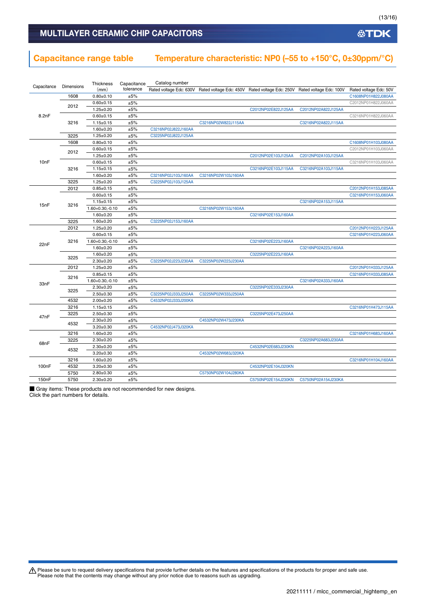**公TDK** 

## MULTILAYER CERAMIC CHIP CAPACITORS

### Capacitance range table Temperature characteristic: NP0 (–55 to +150°C, 0±30ppm/°C)

|                    |                   | Thickness            | Capacitance | Catalog number      |                     |                                                                                                 |                     |                        |
|--------------------|-------------------|----------------------|-------------|---------------------|---------------------|-------------------------------------------------------------------------------------------------|---------------------|------------------------|
| Capacitance        | <b>Dimensions</b> | (mm)                 | tolerance   |                     |                     | Rated voltage Edc: 630V Rated voltage Edc: 450V Rated voltage Edc: 250V Rated voltage Edc: 100V |                     | Rated voltage Edc: 50V |
|                    | 1608              | $0.80 + 0.10$        | ±5%         |                     |                     |                                                                                                 |                     | C1608NP01H822J080AA    |
|                    | 2012              | $0.60 + 0.15$        | ±5%         |                     |                     |                                                                                                 |                     | C2012NP01H822J060AA    |
|                    |                   | $1.25 \pm 0.20$      | ±5%         |                     |                     | C2012NP02E822J125AA                                                                             | C2012NP02A822J125AA |                        |
| 8.2nF              |                   | $0.60 \pm 0.15$      | ±5%         |                     |                     |                                                                                                 |                     | C3216NP01H822J060AA    |
|                    | 3216              | $1.15 \pm 0.15$      | ±5%         |                     | C3216NP02W822J115AA |                                                                                                 | C3216NP02A822J115AA |                        |
|                    |                   | $1.60 + 0.20$        | ±5%         | C3216NP02J822J160AA |                     |                                                                                                 |                     |                        |
|                    | 3225              | $1.25 \pm 0.20$      | ±5%         | C3225NP02J822J125AA |                     |                                                                                                 |                     |                        |
|                    | 1608              | $0.80 + 0.10$        | ±5%         |                     |                     |                                                                                                 |                     | C1608NP01H103J080AA    |
|                    |                   | $0.60 \pm 0.15$      | ±5%         |                     |                     |                                                                                                 |                     | C2012NP01H103J060AA    |
|                    | 2012              | $1.25 \pm 0.20$      | ±5%         |                     |                     | C2012NP02E103J125AA                                                                             | C2012NP02A103J125AA |                        |
| 10 <sub>n</sub> F  |                   | $0.60 + 0.15$        | ±5%         |                     |                     |                                                                                                 |                     | C3216NP01H103J060AA    |
|                    | 3216              | $1.15 \pm 0.15$      | ±5%         |                     |                     | C3216NP02E103J115AA                                                                             | C3216NP02A103J115AA |                        |
|                    |                   | $1.60 + 0.20$        | ±5%         | C3216NP02J103J160AA | C3216NP02W103J160AA |                                                                                                 |                     |                        |
|                    | 3225              | $1.25 \pm 0.20$      | ±5%         | C3225NP02J103J125AA |                     |                                                                                                 |                     |                        |
|                    | 2012              | $0.85 \pm 0.15$      | ±5%         |                     |                     |                                                                                                 |                     | C2012NP01H153J085AA    |
|                    |                   | $0.60 + 0.15$        | ±5%         |                     |                     |                                                                                                 |                     | C3216NP01H153J060AA    |
|                    |                   | $1.15 \pm 0.15$      | ±5%         |                     |                     |                                                                                                 | C3216NP02A153J115AA |                        |
| 15nF               | 3216              | 1.60+0.30,-0.10      | ±5%         |                     | C3216NP02W153J160AA |                                                                                                 |                     |                        |
|                    |                   | $1.60 + 0.20$        | ±5%         |                     |                     | C3216NP02E153J160AA                                                                             |                     |                        |
|                    | 3225              | $1.60 + 0.20$        | ±5%         | C3225NP02J153J160AA |                     |                                                                                                 |                     |                        |
|                    | 2012              | $1.25 \pm 0.20$      | ±5%         |                     |                     |                                                                                                 |                     | C2012NP01H223J125AA    |
|                    |                   | $0.60 \pm 0.15$      | ±5%         |                     |                     |                                                                                                 |                     | C3216NP01H223J060AA    |
|                    |                   |                      |             |                     |                     |                                                                                                 |                     |                        |
| 22nF               | 3216              | $1.60 + 0.30, -0.10$ | ±5%<br>±5%  |                     |                     | C3216NP02E223J160AA                                                                             |                     |                        |
|                    |                   | $1.60 + 0.20$        |             |                     |                     |                                                                                                 | C3216NP02A223J160AA |                        |
|                    | 3225              | $1.60 \pm 0.20$      | ±5%         |                     |                     | C3225NP02E223J160AA                                                                             |                     |                        |
|                    |                   | $2.30+0.20$          | ±5%         | C3225NP02J223J230AA | C3225NP02W223J230AA |                                                                                                 |                     |                        |
|                    | 2012              | $1.25 \pm 0.20$      | ±5%         |                     |                     |                                                                                                 |                     | C2012NP01H333J125AA    |
|                    | 3216              | $0.85 \pm 0.15$      | ±5%         |                     |                     |                                                                                                 |                     | C3216NP01H333J085AA    |
| 33nF               |                   | $1.60 + 0.30, -0.10$ | ±5%         |                     |                     |                                                                                                 | C3216NP02A333J160AA |                        |
|                    | 3225              | $2.30 + 0.20$        | ±5%         |                     |                     | C3225NP02E333J230AA                                                                             |                     |                        |
|                    |                   | $2.50 \pm 0.30$      | ±5%         | C3225NP02J333J250AA | C3225NP02W333J250AA |                                                                                                 |                     |                        |
|                    | 4532              | $2.00+0.20$          | ±5%         | C4532NP02J333J200KA |                     |                                                                                                 |                     |                        |
|                    | 3216              | $1.15 \pm 0.15$      | ±5%         |                     |                     |                                                                                                 |                     | C3216NP01H473J115AA    |
| 47nF               | 3225              | $2.50 + 0.30$        | ±5%         |                     |                     | C3225NP02E473J250AA                                                                             |                     |                        |
|                    | 4532              | $2.30 \pm 0.20$      | ±5%         |                     | C4532NP02W473J230KA |                                                                                                 |                     |                        |
|                    |                   | $3.20 \pm 0.30$      | ±5%         | C4532NP02J473J320KA |                     |                                                                                                 |                     |                        |
|                    | 3216              | $1.60 + 0.20$        | ±5%         |                     |                     |                                                                                                 |                     | C3216NP01H683J160AA    |
|                    | 3225              | $2.30+0.20$          | ±5%         |                     |                     |                                                                                                 | C3225NP02A683J230AA |                        |
| 68nF               | 4532              | $2.30 \pm 0.20$      | ±5%         |                     |                     | C4532NP02E683J230KN                                                                             |                     |                        |
|                    |                   | $3.20 \pm 0.30$      | ±5%         |                     | C4532NP02W683J320KA |                                                                                                 |                     |                        |
|                    | 3216              | $1.60 \pm 0.20$      | ±5%         |                     |                     |                                                                                                 |                     | C3216NP01H104J160AA    |
| 100 <sub>n</sub> F | 4532              | $3.20 \pm 0.30$      | ±5%         |                     |                     | C4532NP02E104J320KN                                                                             |                     |                        |
|                    | 5750              | $2.80 + 0.30$        | ±5%         |                     | C5750NP02W104J280KA |                                                                                                 |                     |                        |
| 150nF              | 5750              | $2.30+0.20$          | ±5%         |                     |                     | C5750NP02E154J230KN                                                                             | C5750NP02A154J230KA |                        |

■ Gray items: These products are not recommended for new designs. Click the part numbers for details.

Please be sure to request delivery specifications that provide further details on the features and specifications of the products for proper and safe use.<br>Please note that the contents may change without any prior notice d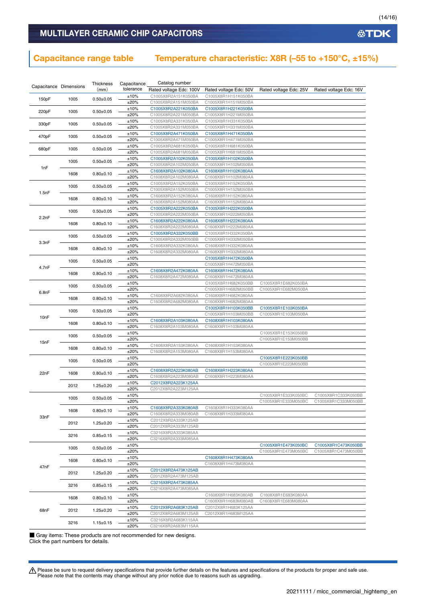### Capacitance range table Temperature characteristic: X8R (-55 to +150 $^{\circ}$ C, ±15%)

|       |                        | Thickness       | Capacitance | Catalog number          |                        |                        |                        |
|-------|------------------------|-----------------|-------------|-------------------------|------------------------|------------------------|------------------------|
|       | Capacitance Dimensions | (mm)            | tolerance   | Rated voltage Edc: 100V | Rated voltage Edc: 50V | Rated voltage Edc: 25V | Rated voltage Edc: 16V |
|       |                        |                 | ±10%        | C1005X8R2A151K050BA     | C1005X8R1H151K050BA    |                        |                        |
| 150pF | 1005                   | $0.50 \pm 0.05$ | ±20%        | C1005X8R2A151M050BA     | C1005X8R1H151M050BA    |                        |                        |
|       |                        |                 | ±10%        |                         |                        |                        |                        |
| 220pF | 1005                   | $0.50 \pm 0.05$ |             | C1005X8R2A221K050BA     | C1005X8R1H221K050BA    |                        |                        |
|       |                        |                 | ±20%        | C1005X8R2A221M050BA     | C1005X8R1H221M050BA    |                        |                        |
| 330pF | 1005                   | $0.50 \pm 0.05$ | ±10%        | C1005X8R2A331K050BA     | C1005X8R1H331K050BA    |                        |                        |
|       |                        |                 | ±20%        | C1005X8R2A331M050BA     | C1005X8R1H331M050BA    |                        |                        |
| 470pF | 1005                   | $0.50 \pm 0.05$ | ±10%        | C1005X8R2A471K050BA     | C1005X8R1H471K050BA    |                        |                        |
|       |                        |                 | ±20%        | C1005X8R2A471M050BA     | C1005X8R1H471M050BA    |                        |                        |
|       |                        |                 | ±10%        | C1005X8R2A681K050BA     | C1005X8R1H681K050BA    |                        |                        |
| 680pF | 1005                   | $0.50 \pm 0.05$ | ±20%        | C1005X8R2A681M050BA     | C1005X8R1H681M050BA    |                        |                        |
|       |                        |                 | ±10%        | C1005X8R2A102K050BA     | C1005X8R1H102K050BA    |                        |                        |
|       | 1005                   | $0.50 + 0.05$   | ±20%        | C1005X8R2A102M050BA     | C1005X8R1H102M050BA    |                        |                        |
| 1nF   |                        |                 | ±10%        | C1608X8R2A102K080AA     | C1608X8R1H102K080AA    |                        |                        |
|       | 1608                   | $0.80 + 0.10$   | ±20%        | C1608X8R2A102M080AA     | C1608X8R1H102M080AA    |                        |                        |
|       |                        |                 | ±10%        | C1005X8R2A152K050BA     | C1005X8R1H152K050BA    |                        |                        |
|       | 1005                   | $0.50 \pm 0.05$ |             |                         |                        |                        |                        |
| 1.5nF |                        |                 | ±20%        | C1005X8R2A152M050BA     | C1005X8R1H152M050BA    |                        |                        |
|       | 1608                   | $0.80 \pm 0.10$ | ±10%        | C1608X8R2A152K080AA     | C1608X8R1H152K080AA    |                        |                        |
|       |                        |                 | ±20%        | C1608X8R2A152M080AA     | C1608X8R1H152M080AA    |                        |                        |
|       | 1005                   | $0.50 \pm 0.05$ | ±10%        | C1005X8R2A222K050BA     | C1005X8R1H222K050BA    |                        |                        |
| 2.2nF |                        |                 | ±20%        | C1005X8R2A222M050BA     | C1005X8R1H222M050BA    |                        |                        |
|       |                        |                 | ±10%        | C1608X8R2A222K080AA     | C1608X8R1H222K080AA    |                        |                        |
|       | 1608                   | $0.80 \pm 0.10$ | ±20%        | C1608X8R2A222M080AA     | C1608X8R1H222M080AA    |                        |                        |
|       |                        |                 | ±10%        | C1005X8R2A332K050BB     | C1005X8R1H332K050BA    |                        |                        |
|       | 1005                   | $0.50 \pm 0.05$ | ±20%        | C1005X8R2A332M050BB     | C1005X8R1H332M050BA    |                        |                        |
| 3.3nF |                        |                 | ±10%        | C1608X8R2A332K080AA     | C1608X8R1H332K080AA    |                        |                        |
|       | 1608                   | $0.80 \pm 0.10$ | ±20%        | C1608X8R2A332M080AA     | C1608X8R1H332M080AA    |                        |                        |
|       |                        |                 |             |                         | C1005X8R1H472K050BA    |                        |                        |
|       | 1005                   | $0.50 \pm 0.05$ | ±10%        |                         |                        |                        |                        |
| 4.7nF |                        |                 | ±20%        |                         | C1005X8R1H472M050BA    |                        |                        |
|       | 1608                   | $0.80 + 0.10$   | ±10%        | C1608X8R2A472K080AA     | C1608X8R1H472K080AA    |                        |                        |
|       |                        |                 | ±20%        | C1608X8R2A472M080AA     | C1608X8R1H472M080AA    |                        |                        |
|       | 1005                   | $0.50 + 0.05$   | ±10%        |                         | C1005X8R1H682K050BB    | C1005X8R1E682K050BA    |                        |
| 6.8nF |                        |                 | ±20%        |                         | C1005X8R1H682M050BB    | C1005X8R1E682M050BA    |                        |
|       |                        |                 | ±10%        | C1608X8R2A682K080AA     | C1608X8R1H682K080AA    |                        |                        |
|       | 1608                   | $0.80 \pm 0.10$ | ±20%        | C1608X8R2A682M080AA     | C1608X8R1H682M080AA    |                        |                        |
|       |                        |                 | ±10%        |                         | C1005X8R1H103K050BB    | C1005X8R1E103K050BA    |                        |
|       | 1005                   | $0.50 \pm 0.05$ | ±20%        |                         | C1005X8R1H103M050BB    | C1005X8R1E103M050BA    |                        |
| 10nF  |                        |                 | ±10%        | C1608X8R2A103K080AA     | C1608X8R1H103K080AA    |                        |                        |
|       | 1608                   | $0.80 \pm 0.10$ | ±20%        | C1608X8R2A103M080AA     | C1608X8R1H103M080AA    |                        |                        |
|       |                        |                 | ±10%        |                         |                        | C1005X8R1E153K050BB    |                        |
|       | 1005                   | $0.50 \pm 0.05$ |             |                         |                        |                        |                        |
| 15nF  |                        |                 | ±20%        |                         |                        | C1005X8R1E153M050BB    |                        |
|       | 1608                   | $0.80 \pm 0.10$ | ±10%        | C1608X8R2A153K080AA     | C1608X8R1H153K080AA    |                        |                        |
|       |                        |                 | ±20%        | C1608X8R2A153M080AA     | C1608X8R1H153M080AA    |                        |                        |
|       | 1005                   | $0.50 \pm 0.05$ | ±10%        |                         |                        | C1005X8R1E223K050BB    |                        |
|       |                        |                 | ±20%        |                         |                        | C1005X8R1E223M050BB    |                        |
| 22nF  | 1608                   | $0.80 + 0.10$   | ±10%        | C1608X8R2A223K080AB     | C1608X8R1H223K080AA    |                        |                        |
|       |                        |                 | ±20%        | C1608X8R2A223M080AB     | C1608X8R1H223M080AA    |                        |                        |
|       |                        |                 | ±10%        | C2012X8R2A223K125AA     |                        |                        |                        |
|       | 2012                   | $1.25 \pm 0.20$ | ±20%        | C2012X8R2A223M125AA     |                        |                        |                        |
|       |                        |                 | ±10%        |                         |                        | C1005X8R1E333K050BC    | C1005X8R1C333K050BB    |
|       | 1005                   | $0.50 + 0.05$   | ±20%        |                         |                        | C1005X8R1E333M050BC    | C1005X8R1C333M050BB    |
|       |                        |                 | ±10%        | C1608X8R2A333K080AB     | C1608X8R1H333K080AA    |                        |                        |
|       | 1608                   | $0.80 + 0.10$   | ±20%        | C1608X8R2A333M080AB     | C1608X8R1H333M080AA    |                        |                        |
| 33nF  |                        |                 | ±10%        | C2012X8R2A333K125AB     |                        |                        |                        |
|       | 2012                   | $1.25 \pm 0.20$ |             |                         |                        |                        |                        |
|       |                        |                 | ±20%        | C2012X8R2A333M125AB     |                        |                        |                        |
|       | 3216                   | $0.85 \pm 0.15$ | ±10%        | C3216X8R2A333K085AA     |                        |                        |                        |
|       |                        |                 | ±20%        | C3216X8R2A333M085AA     |                        |                        |                        |
|       | 1005                   | $0.50 \pm 0.05$ | ±10%        |                         |                        | C1005X8R1E473K050BC    | C1005X8R1C473K050BB    |
|       |                        |                 | ±20%        |                         |                        | C1005X8R1E473M050BC    | C1005X8R1C473M050BB    |
|       |                        |                 | ±10%        |                         | C1608X8R1H473K080AA    |                        |                        |
|       | 1608                   | $0.80 \pm 0.10$ | ±20%        |                         | C1608X8R1H473M080AA    |                        |                        |
| 47nF  |                        |                 | ±10%        | C2012X8R2A473K125AB     |                        |                        |                        |
|       | 2012                   | $1.25 \pm 0.20$ | ±20%        | C2012X8R2A473M125AB     |                        |                        |                        |
|       |                        |                 | ±10%        | C3216X8R2A473K085AA     |                        |                        |                        |
|       | 3216                   | $0.85 \pm 0.15$ |             |                         |                        |                        |                        |
|       |                        |                 | ±20%        | C3216X8R2A473M085AA     |                        |                        |                        |
|       | 1608                   | $0.80 \pm 0.10$ | ±10%        |                         | C1608X8R1H683K080AB    | C1608X8R1E683K080AA    |                        |
|       |                        |                 | ±20%        |                         | C1608X8R1H683M080AB    | C1608X8R1E683M080AA    |                        |
| 68nF  | 2012                   | $1.25 \pm 0.20$ | ±10%        | C2012X8R2A683K125AB     | C2012X8R1H683K125AA    |                        |                        |
|       |                        |                 | ±20%        | C2012X8R2A683M125AB     | C2012X8R1H683M125AA    |                        |                        |
|       |                        |                 | ±10%        | C3216X8R2A683K115AA     |                        |                        |                        |
|       | 3216                   | $1.15 \pm 0.15$ | ±20%        | C3216X8R2A683M115AA     |                        |                        |                        |

■ Gray items: These products are not recommended for new designs. Click the part numbers for details.

Please be sure to request delivery specifications that provide further details on the features and specifications of the products for proper and safe use.<br>Please note that the contents may change without any prior notice d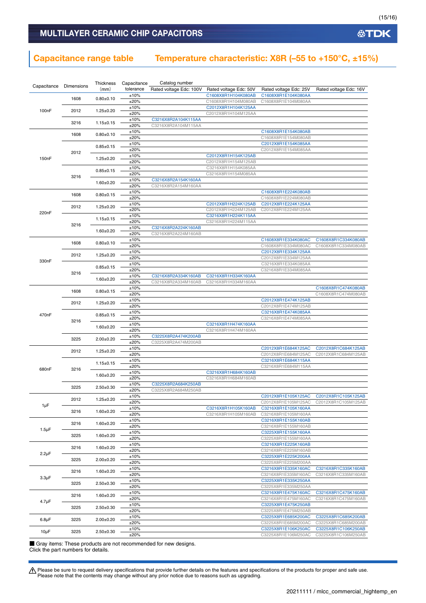## Capacitance range table Temperature characteristic: X8R (–55 to +150°C, ±15%)

|                    | Dimensions | Thickness       | Capacitance  | Catalog number                             |                        |                                            |                                            |
|--------------------|------------|-----------------|--------------|--------------------------------------------|------------------------|--------------------------------------------|--------------------------------------------|
| Capacitance        |            | (mm)            | tolerance    | Rated voltage Edc: 100V                    | Rated voltage Edc: 50V | Rated voltage Edc: 25V                     | Rated voltage Edc: 16V                     |
|                    | 1608       | $0.80 + 0.10$   | ±10%         |                                            | C1608X8R1H104K080AB    | C1608X8R1E104K080AA                        |                                            |
|                    |            |                 | ±20%         |                                            | C1608X8R1H104M080AB    | C1608X8R1E104M080AA                        |                                            |
| 100 <sub>n</sub> F | 2012       | $1.25 \pm 0.20$ | ±10%         |                                            | C2012X8R1H104K125AA    |                                            |                                            |
|                    |            |                 | ±20%         |                                            | C2012X8R1H104M125AA    |                                            |                                            |
|                    | 3216       | $1.15 \pm 0.15$ | ±10%<br>±20% | C3216X8R2A104K115AA<br>C3216X8R2A104M115AA |                        |                                            |                                            |
|                    |            |                 | ±10%         |                                            |                        | C1608X8R1E154K080AB                        |                                            |
|                    | 1608       | $0.80 + 0.10$   | ±20%         |                                            |                        | C1608X8R1E154M080AB                        |                                            |
|                    |            |                 | ±10%         |                                            |                        | C2012X8R1E154K085AA                        |                                            |
|                    |            | $0.85 \pm 0.15$ | ±20%         |                                            |                        | C2012X8R1E154M085AA                        |                                            |
| 150 <sub>n</sub> F | 2012       | $1.25 \pm 0.20$ | ±10%         |                                            | C2012X8R1H154K125AB    |                                            |                                            |
|                    |            |                 | ±20%         |                                            | C2012X8R1H154M125AB    |                                            |                                            |
|                    |            | $0.85 \pm 0.15$ | ±10%         |                                            | C3216X8R1H154K085AA    |                                            |                                            |
|                    | 3216       |                 | ±20%         |                                            | C3216X8R1H154M085AA    |                                            |                                            |
|                    |            | $1.60 \pm 0.20$ | ±10%<br>±20% | C3216X8R2A154K160AA<br>C3216X8R2A154M160AA |                        |                                            |                                            |
|                    |            |                 | ±10%         |                                            |                        | C1608X8R1E224K080AB                        |                                            |
|                    | 1608       | $0.80 + 0.15$   | ±20%         |                                            |                        | C1608X8R1E224M080AB                        |                                            |
|                    |            |                 | ±10%         |                                            | C2012X8R1H224K125AB    | C2012X8R1E224K125AA                        |                                            |
|                    | 2012       | $1.25 \pm 0.20$ | ±20%         |                                            | C2012X8R1H224M125AB    | C2012X8R1E224M125AA                        |                                            |
| 220nF              |            | $1.15 \pm 0.15$ | ±10%         |                                            | C3216X8R1H224K115AA    |                                            |                                            |
|                    | 3216       |                 | ±20%         |                                            | C3216X8R1H224M115AA    |                                            |                                            |
|                    |            | $1.60 \pm 0.20$ | ±10%         | C3216X8R2A224K160AB                        |                        |                                            |                                            |
|                    |            |                 | ±20%         | C3216X8R2A224M160AB                        |                        |                                            |                                            |
|                    | 1608       | $0.80 \pm 0.10$ | ±10%<br>±20% |                                            |                        | C1608X8R1E334K080AC                        | C1608X8R1C334K080AB                        |
|                    |            |                 | ±10%         |                                            |                        | C1608X8R1E334M080AC<br>C2012X8R1E334K125AA | C1608X8R1C334M080AB                        |
|                    | 2012       | $1.25 \pm 0.20$ | ±20%         |                                            |                        | C2012X8R1E334M125AA                        |                                            |
| 330nF              |            |                 | ±10%         |                                            |                        | C3216X8R1E334K085AA                        |                                            |
|                    |            | $0.85 \pm 0.15$ | ±20%         |                                            |                        | C3216X8R1E334M085AA                        |                                            |
|                    | 3216       | $1.60 \pm 0.20$ | ±10%         | C3216X8R2A334K160AB                        | C3216X8R1H334K160AA    |                                            |                                            |
|                    |            |                 | ±20%         | C3216X8R2A334M160AB                        | C3216X8R1H334M160AA    |                                            |                                            |
|                    | 1608       | $0.80 \pm 0.15$ | ±10%         |                                            |                        |                                            | C1608X8R1C474K080AB                        |
|                    |            |                 | ±20%         |                                            |                        |                                            | C1608X8R1C474M080AB                        |
|                    | 2012       | $1.25 \pm 0.20$ | ±10%<br>±20% |                                            |                        | C2012X8R1E474K125AB<br>C2012X8R1E474M125AB |                                            |
|                    |            |                 | ±10%         |                                            |                        | C3216X8R1E474K085AA                        |                                            |
| 470nF              |            | $0.85 \pm 0.15$ | ±20%         |                                            |                        | C3216X8R1E474M085AA                        |                                            |
|                    | 3216       | $1.60 + 0.20$   | ±10%         |                                            | C3216X8R1H474K160AA    |                                            |                                            |
|                    |            |                 | ±20%         |                                            | C3216X8R1H474M160AA    |                                            |                                            |
|                    | 3225       | $2.00 \pm 0.20$ | ±10%         | C3225X8R2A474K200AB                        |                        |                                            |                                            |
|                    |            |                 | ±20%         | C3225X8R2A474M200AB                        |                        |                                            |                                            |
|                    | 2012       | $1.25 \pm 0.20$ | ±10%         |                                            |                        | C2012X8R1E684K125AC                        | C2012X8R1C684K125AB                        |
|                    |            |                 | ±20%         |                                            |                        | C2012X8R1E684M125AC                        | C2012X8R1C684M125AB                        |
|                    |            | $1.15 \pm 0.15$ | ±10%<br>±20% |                                            |                        | C3216X8R1E684K115AA<br>C3216X8R1E684M115AA |                                            |
| 680nF              | 3216       |                 | ±10%         |                                            | C3216X8R1H684K160AB    |                                            |                                            |
|                    |            | $1.60 + 0.20$   | ±20%         |                                            | C3216X8R1H684M160AB    |                                            |                                            |
|                    |            |                 | ±10%         | C3225X8R2A684K250AB                        |                        |                                            |                                            |
|                    | 3225       | $2.50 + 0.30$   | ±20%         | C3225X8R2A684M250AB                        |                        |                                            |                                            |
|                    | 2012       | $1.25 \pm 0.20$ | ±10%         |                                            |                        | C2012X8R1E105K125AC                        | C2012X8R1C105K125AB                        |
| $1 \mu F$          |            |                 | ±20%         |                                            |                        | C2012X8R1E105M125AC                        | C2012X8R1C105M125AB                        |
|                    | 3216       | $1.60 \pm 0.20$ | ±10%         |                                            | C3216X8R1H105K160AB    | C3216X8R1E105K160AA                        |                                            |
|                    |            |                 | ±20%<br>±10% |                                            | C3216X8R1H105M160AB    | C3216X8R1E105M160AA<br>C3216X8R1E155K160AB |                                            |
|                    | 3216       | $1.60 \pm 0.20$ | ±20%         |                                            |                        | C3216X8R1E155M160AB                        |                                            |
| $1.5 \mu F$        |            |                 | ±10%         |                                            |                        | C3225X8R1E155K160AA                        |                                            |
|                    | 3225       | $1.60 \pm 0.20$ | ±20%         |                                            |                        | C3225X8R1E155M160AA                        |                                            |
|                    | 3216       | $1.60 \pm 0.20$ | ±10%         |                                            |                        | C3216X8R1E225K160AB                        |                                            |
| $2.2 \mu F$        |            |                 | ±20%         |                                            |                        | C3216X8R1E225M160AB                        |                                            |
|                    | 3225       | $2.00 \pm 0.20$ | ±10%         |                                            |                        | C3225X8R1E225K200AA                        |                                            |
|                    |            |                 | ±20%         |                                            |                        | C3225X8R1E225M200AA                        |                                            |
|                    | 3216       | $1.60 \pm 0.20$ | ±10%<br>±20% |                                            |                        | C3216X8R1E335K160AC<br>C3216X8R1E335M160AC | C3216X8R1C335K160AB<br>C3216X8R1C335M160AB |
| $3.3 \mu F$        |            |                 | ±10%         |                                            |                        | C3225X8R1E335K250AA                        |                                            |
|                    | 3225       | $2.50 \pm 0.30$ | ±20%         |                                            |                        | C3225X8R1E335M250AA                        |                                            |
|                    |            |                 | ±10%         |                                            |                        | C3216X8R1E475K160AC                        | C3216X8R1C475K160AB                        |
| $4.7 \mu F$        | 3216       | $1.60 \pm 0.20$ | ±20%         |                                            |                        | C3216X8R1E475M160AC                        | C3216X8R1C475M160AB                        |
|                    | 3225       | $2.50 \pm 0.30$ | ±10%         |                                            |                        | C3225X8R1E475K250AB                        |                                            |
|                    |            |                 | ±20%         |                                            |                        | C3225X8R1E475M250AB                        |                                            |
| $6.8\mu F$         | 3225       | $2.00 \pm 0.20$ | ±10%         |                                            |                        | C3225X8R1E685K200AC                        | C3225X8R1C685K200AB                        |
|                    |            |                 | ±20%<br>±10% |                                            |                        | C3225X8R1E685M200AC                        | C3225X8R1C685M200AB                        |
| $10\mu F$          | 3225       | $2.50 \pm 0.30$ | ±20%         |                                            |                        | C3225X8R1E106K250AC<br>C3225X8R1E106M250AC | C3225X8R1C106K250AB<br>C3225X8R1C106M250AB |
|                    |            |                 |              |                                            |                        |                                            |                                            |

■ Gray items: These products are not recommended for new designs. Click the part numbers for details.

Please be sure to request delivery specifications that provide further details on the features and specifications of the products for proper and safe use.<br>Please note that the contents may change without any prior notice d